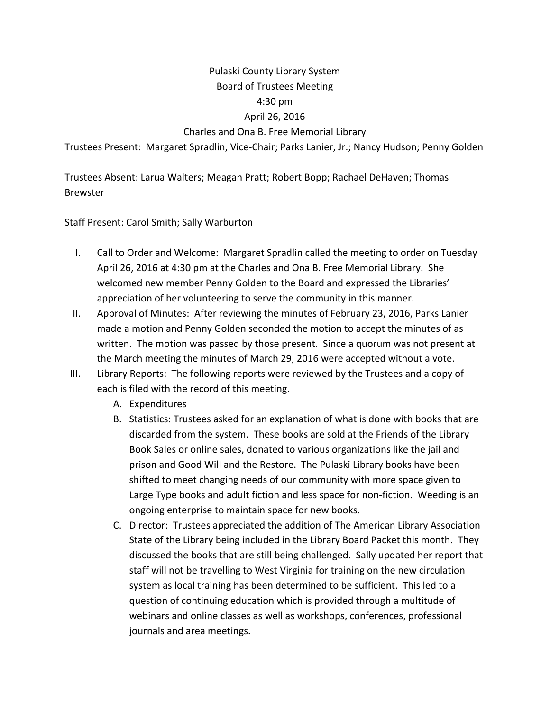## Pulaski County Library System Board of Trustees Meeting 4:30 pm April 26, 2016

## Charles and Ona B. Free Memorial Library

Trustees Present: Margaret Spradlin, Vice‐Chair; Parks Lanier, Jr.; Nancy Hudson; Penny Golden

Trustees Absent: Larua Walters; Meagan Pratt; Robert Bopp; Rachael DeHaven; Thomas Brewster

Staff Present: Carol Smith; Sally Warburton

- I. Call to Order and Welcome: Margaret Spradlin called the meeting to order on Tuesday April 26, 2016 at 4:30 pm at the Charles and Ona B. Free Memorial Library. She welcomed new member Penny Golden to the Board and expressed the Libraries' appreciation of her volunteering to serve the community in this manner.
- II. Approval of Minutes: After reviewing the minutes of February 23, 2016, Parks Lanier made a motion and Penny Golden seconded the motion to accept the minutes of as written. The motion was passed by those present. Since a quorum was not present at the March meeting the minutes of March 29, 2016 were accepted without a vote.
- III. Library Reports: The following reports were reviewed by the Trustees and a copy of each is filed with the record of this meeting.
	- A. Expenditures
	- B. Statistics: Trustees asked for an explanation of what is done with books that are discarded from the system. These books are sold at the Friends of the Library Book Sales or online sales, donated to various organizations like the jail and prison and Good Will and the Restore. The Pulaski Library books have been shifted to meet changing needs of our community with more space given to Large Type books and adult fiction and less space for non-fiction. Weeding is an ongoing enterprise to maintain space for new books.
	- C. Director: Trustees appreciated the addition of The American Library Association State of the Library being included in the Library Board Packet this month. They discussed the books that are still being challenged. Sally updated her report that staff will not be travelling to West Virginia for training on the new circulation system as local training has been determined to be sufficient. This led to a question of continuing education which is provided through a multitude of webinars and online classes as well as workshops, conferences, professional journals and area meetings.